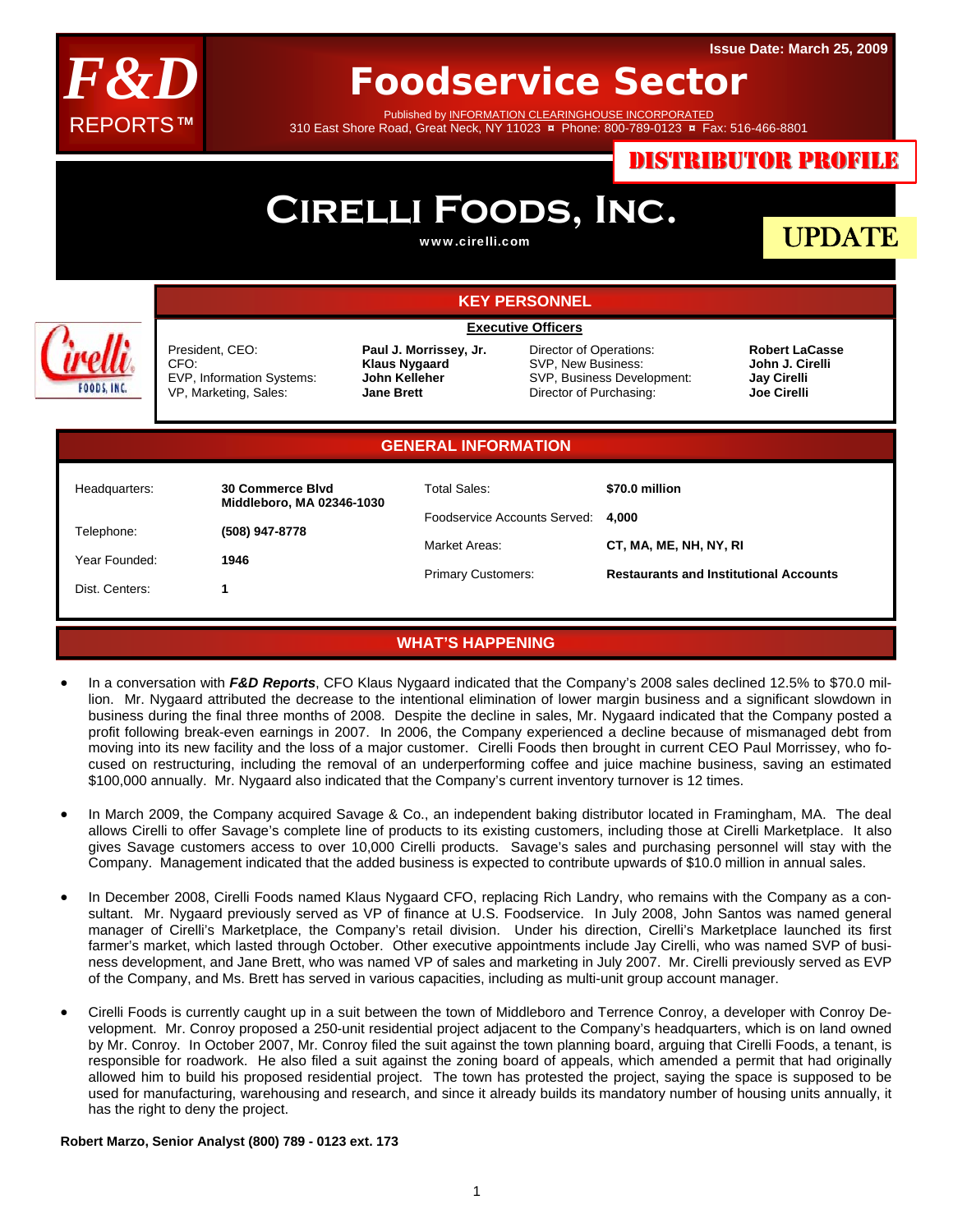

## **Foodservice Sector**

Published by INFORMATION CLEARINGHOUSE INCORPORATED 310 East Shore Road, Great Neck, NY 11023 **¤** Phone: 800-789-0123 **¤** Fax: 516-466-8801

DISTRIBUTOR PROFILE

#### **Cirelli Foods, Inc.** UPDATE www.cirelli.com **KEY PERSONNEL Executive Officers** President, CEO: **Paul J. Morrissey, Jr.**  Director of Operations: **Robert LaCasse**  CFO: **Klaus Nygaard**  SVP, New Business: **John J. Cirelli**  SVP, Business Development: **Jay Cirelli**  EVP, Information Systems: **John Kelleher FOODS, INC** Director of Purchasing: VP, Marketing, Sales: **Jane Brett Joe Cirelli GENERAL INFORMATION** Total Sales: Headquarters: **30 Commerce Blvd \$70.0 million Middleboro, MA 02346-1030**  Foodservice Accounts Served: **4,000**  Telephone: **(508) 947-8778**  Market Areas: **CT, MA, ME, NH, NY, RI** Year Founded: **1946**  Primary Customers: **Restaurants and Institutional Accounts**  Dist. Centers: **1**

### **WHAT'S HAPPENING**

- In a conversation with *F&D Reports*, CFO Klaus Nygaard indicated that the Company's 2008 sales declined 12.5% to \$70.0 million. Mr. Nygaard attributed the decrease to the intentional elimination of lower margin business and a significant slowdown in business during the final three months of 2008. Despite the decline in sales, Mr. Nygaard indicated that the Company posted a profit following break-even earnings in 2007. In 2006, the Company experienced a decline because of mismanaged debt from moving into its new facility and the loss of a major customer. Cirelli Foods then brought in current CEO Paul Morrissey, who focused on restructuring, including the removal of an underperforming coffee and juice machine business, saving an estimated \$100,000 annually. Mr. Nygaard also indicated that the Company's current inventory turnover is 12 times.
- In March 2009, the Company acquired Savage & Co., an independent baking distributor located in Framingham, MA. The deal allows Cirelli to offer Savage's complete line of products to its existing customers, including those at Cirelli Marketplace. It also gives Savage customers access to over 10,000 Cirelli products. Savage's sales and purchasing personnel will stay with the Company. Management indicated that the added business is expected to contribute upwards of \$10.0 million in annual sales.
- In December 2008, Cirelli Foods named Klaus Nygaard CFO, replacing Rich Landry, who remains with the Company as a consultant. Mr. Nygaard previously served as VP of finance at U.S. Foodservice. In July 2008, John Santos was named general manager of Cirelli's Marketplace, the Company's retail division. Under his direction, Cirelli's Marketplace launched its first farmer's market, which lasted through October. Other executive appointments include Jay Cirelli, who was named SVP of business development, and Jane Brett, who was named VP of sales and marketing in July 2007. Mr. Cirelli previously served as EVP of the Company, and Ms. Brett has served in various capacities, including as multi-unit group account manager.
- Cirelli Foods is currently caught up in a suit between the town of Middleboro and Terrence Conroy, a developer with Conroy Development. Mr. Conroy proposed a 250-unit residential project adjacent to the Company's headquarters, which is on land owned by Mr. Conroy. In October 2007, Mr. Conroy filed the suit against the town planning board, arguing that Cirelli Foods, a tenant, is responsible for roadwork. He also filed a suit against the zoning board of appeals, which amended a permit that had originally allowed him to build his proposed residential project. The town has protested the project, saying the space is supposed to be used for manufacturing, warehousing and research, and since it already builds its mandatory number of housing units annually, it has the right to deny the project.

#### **Robert Marzo, Senior Analyst (800) 789 - 0123 ext. 173**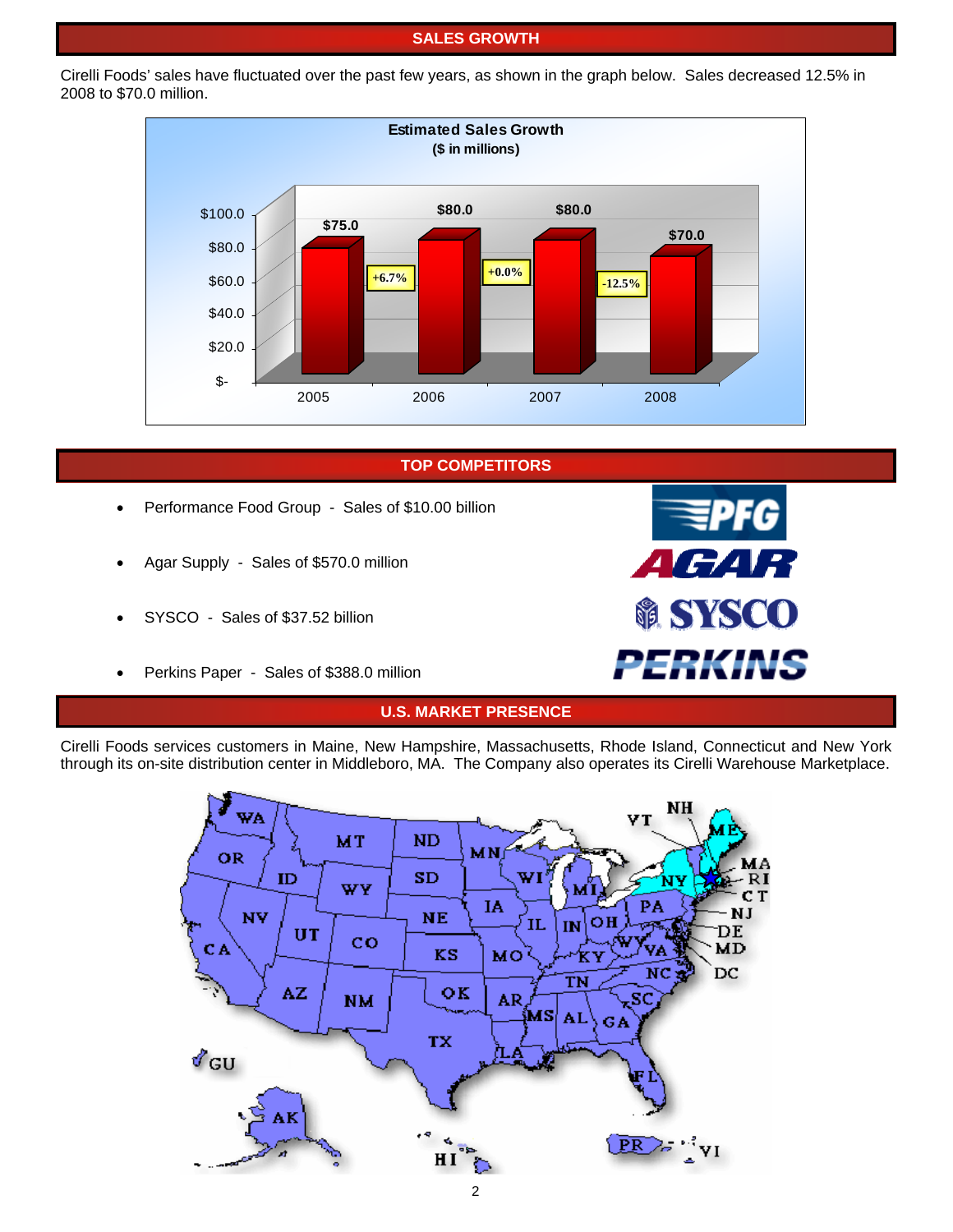#### **SALES GROWTH**

Cirelli Foods' sales have fluctuated over the past few years, as shown in the graph below. Sales decreased 12.5% in 2008 to \$70.0 million.



**TOP COMPETITORS**

- Performance Food Group Sales of \$10.00 billion
- Agar Supply Sales of \$570.0 million
- SYSCO Sales of \$37.52 billion
- Perkins Paper Sales of \$388.0 million

# *AGAR SYSCO PERKINS*

### **U.S. MARKET PRESENCE**

Cirelli Foods services customers in Maine, New Hampshire, Massachusetts, Rhode Island, Connecticut and New York through its on-site distribution center in Middleboro, MA. The Company also operates its Cirelli Warehouse Marketplace.